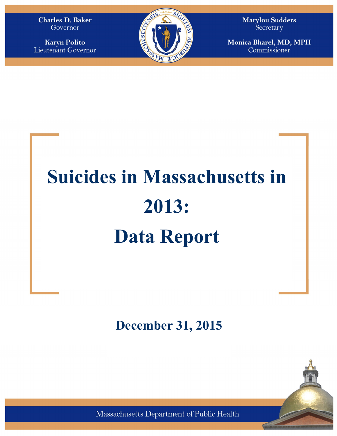Governor

**Karyn Polito** 

**KARYN E. POLIT**O **Lieutenant Governor** 



**MONICA BHAREL, MD, MPH Commissioner Tel: 617-624-6000 www.mass.gov/dph** 

# **Suicides in Massachusetts in 2013: Data Report**

**December 31, 2015** 

Pursuant to Section 232 of Chapter 111 of the Massachusetts General Laws, please find enclosed



Massachusetts Department of Public Health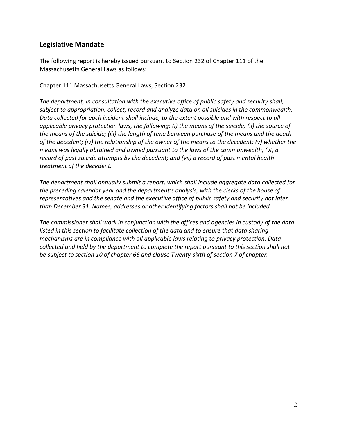## **Legislative Mandate**

The following report is hereby issued pursuant to Section 232 of Chapter 111 of the Massachusetts General Laws as follows:

Chapter 111 Massachusetts General Laws, Section 232

*The department, in consultation with the executive office of public safety and security shall, subject to appropriation, collect, record and analyze data on all suicides in the commonwealth. Data collected for each incident shall include, to the extent possible and with respect to all applicable privacy protection laws, the following: (i) the means of the suicide; (ii) the source of the means of the suicide; (iii) the length of time between purchase of the means and the death of the decedent; (iv) the relationship of the owner of the means to the decedent; (v) whether the means was legally obtained and owned pursuant to the laws of the commonwealth; (vi) a record of past suicide attempts by the decedent; and (vii) a record of past mental health treatment of the decedent.* 

*The department shall annually submit a report, which shall include aggregate data collected for the preceding calendar year and the department's analysis, with the clerks of the house of representatives and the senate and the executive office of public safety and security not later than December 31. Names, addresses or other identifying factors shall not be included.* 

*The commissioner shall work in conjunction with the offices and agencies in custody of the data listed in this section to facilitate collection of the data and to ensure that data sharing mechanisms are in compliance with all applicable laws relating to privacy protection. Data collected and held by the department to complete the report pursuant to this section shall not be subject to section 10 of chapter 66 and clause Twenty-sixth of section 7 of chapter.*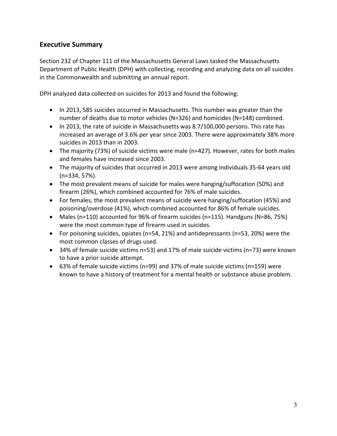# **Executive Summary**

Section 232 of Chapter 111 of the Massachusetts General Laws tasked the Massachusetts Department of Public Health (DPH) with collecting, recording and analyzing data on all suicides in the Commonwealth and submitting an annual report.

DPH analyzed data collected on suicides for 2013 and found the following:

- In 2013, 585 suicides occurred in Massachusetts. This number was greater than the number of deaths due to motor vehicles (N=326) and homicides (N=148) combined.
- In 2013, the rate of suicide in Massachusetts was 8.7/100,000 persons. This rate has increased an average of 3.6% per year since 2003. There were approximately 38% more suicides in 2013 than in 2003.
- The majority (73%) of suicide victims were male (n=427). However, rates for both males and females have increased since 2003.
- The majority of suicides that occurred in 2013 were among individuals 35-64 years old (n=334, 57%).
- The most prevalent means of suicide for males were hanging/suffocation (50%) and firearm (26%), which combined accounted for 76% of male suicides.
- For females, the most prevalent means of suicide were hanging/suffocation (45%) and poisoning/overdose (41%), which combined accounted for 86% of female suicides.
- Males (n=110) accounted for 96% of firearm suicides (n=115). Handguns (N=86, 75%) were the most common type of firearm used in suicides.
- For poisoning suicides, opiates (n=54, 21%) and antidepressants (n=53, 20%) were the most common classes of drugs used.
- 34% of female suicide victims n=53) and 17% of male suicide victims (n=73) were known to have a prior suicide attempt.
- 63% of female suicide victims (n=99) and 37% of male suicide victims (n=159) were known to have a history of treatment for a mental health or substance abuse problem.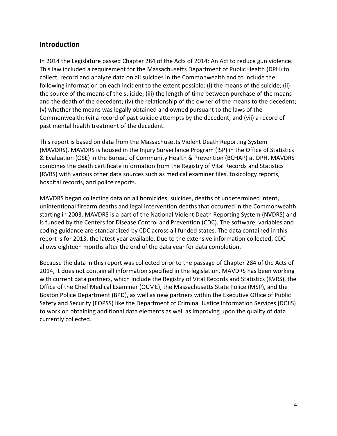## **Introduction**

In 2014 the Legislature passed Chapter 284 of the Acts of 2014: An Act to reduce gun violence. This law included a requirement for the Massachusetts Department of Public Health (DPH) to collect, record and analyze data on all suicides in the Commonwealth and to include the following information on each incident to the extent possible: (i) the means of the suicide; (ii) the source of the means of the suicide; (iii) the length of time between purchase of the means and the death of the decedent; (iv) the relationship of the owner of the means to the decedent; (v) whether the means was legally obtained and owned pursuant to the laws of the Commonwealth; (vi) a record of past suicide attempts by the decedent; and (vii) a record of past mental health treatment of the decedent.

This report is based on data from the Massachusetts Violent Death Reporting System (MAVDRS). MAVDRS is housed in the Injury Surveillance Program (ISP) in the Office of Statistics & Evaluation (OSE) in the Bureau of Community Health & Prevention (BCHAP) at DPH. MAVDRS combines the death certificate information from the Registry of Vital Records and Statistics (RVRS) with various other data sources such as medical examiner files, toxicology reports, hospital records, and police reports.

MAVDRS began collecting data on all homicides, suicides, deaths of undetermined intent, unintentional firearm deaths and legal intervention deaths that occurred in the Commonwealth starting in 2003. MAVDRS is a part of the National Violent Death Reporting System (NVDRS) and is funded by the Centers for Disease Control and Prevention (CDC). The software, variables and coding guidance are standardized by CDC across all funded states. The data contained in this report is for 2013, the latest year available. Due to the extensive information collected, CDC allows eighteen months after the end of the data year for data completion.

Because the data in this report was collected prior to the passage of Chapter 284 of the Acts of 2014, it does not contain all information specified in the legislation. MAVDRS has been working with current data partners, which include the Registry of Vital Records and Statistics (RVRS), the Office of the Chief Medical Examiner (OCME), the Massachusetts State Police (MSP), and the Boston Police Department (BPD), as well as new partners within the Executive Office of Public Safety and Security (EOPSS) like the Department of Criminal Justice Information Services (DCJIS) to work on obtaining additional data elements as well as improving upon the quality of data currently collected.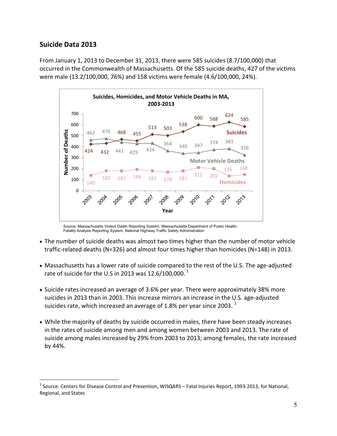## **Suicide Data 2013**

<u>.</u>

From January 1, 2013 to December 31, 2013, there were 585 suicides (8.7/100,000) that occurred in the Commonwealth of Massachusetts. Of the 585 suicide deaths, 427 of the victims were male (13.2/100,000, 76%) and 158 victims were female (4.6/100,000, 24%).



Source: Massachusetts Violent Death Reporting System, Massachusetts Department of Public Health; Fatality Analysis Reporting System, National Highway Traffic Safety Administration

- The number of suicide deaths was almost two times higher than the number of motor vehicle traffic-related deaths (N=326) and almost four times higher than homicides (N=148) in 2013.
- Massachusetts has a lower rate of suicide compared to the rest of the U.S. The age-adjusted rate of suicide for the U.S in 2013 was 12.6/100,000.  $^1$
- Suicide rates increased an average of 3.6% per year. There were approximately 38% more suicides in 2013 than in 2003. This increase mirrors an increase in the U.S. age-adjusted suicides rate, which increased an average of 1.8% per year since 2003.  $^1$
- While the majority of deaths by suicide occurred in males, there have been steady increases in the rates of suicide among men and among women between 2003 and 2013. The rate of suicide among males increased by 29% from 2003 to 2013; among females, the rate increased by 44%.

<sup>&</sup>lt;sup>1</sup> Source: Centers for Disease Control and Prevention, WISQARS – Fatal Injuries Report, 1993-2013, for National, Regional, and States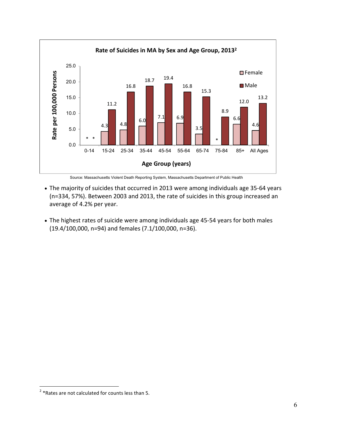

Source: Massachusetts Violent Death Reporting System, Massachusetts Department of Public Health

- The majority of suicides that occurred in 2013 were among individuals age 35-64 years (n=334, 57%). Between 2003 and 2013, the rate of suicides in this group increased an average of 4.2% per year.
- The highest rates of suicide were among individuals age 45-54 years for both males (19.4/100,000, n=94) and females (7.1/100,000, n=36).

 2 \*Rates are not calculated for counts less than 5.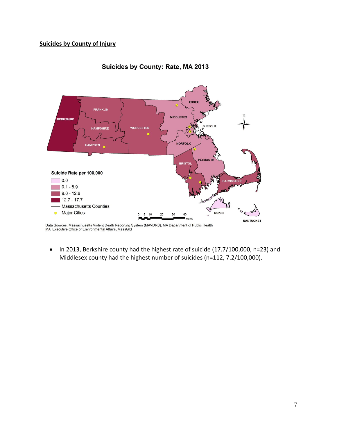## **Suicides by County of Injury**



#### Suicides by County: Rate, MA 2013

• In 2013, Berkshire county had the highest rate of suicide (17.7/100,000, n=23) and Middlesex county had the highest number of suicides (n=112, 7.2/100,000).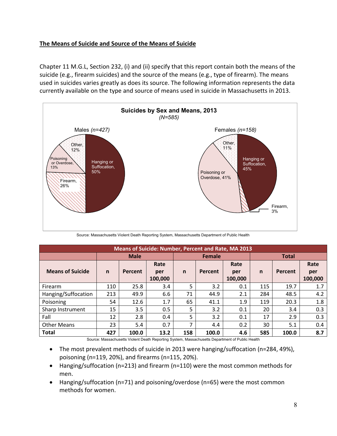## **The Means of Suicide and Source of the Means of Suicide**

Chapter 11 M.G.L, Section 232, (i) and (ii) specify that this report contain both the means of the suicide (e.g., firearm suicides) and the source of the means (e.g., type of firearm). The means used in suicides varies greatly as does its source. The following information represents the data currently available on the type and source of means used in suicide in Massachusetts in 2013.



Source: Massachusetts Violent Death Reporting System, Massachusetts Department of Public Health

| <b>Means of Suicide: Number, Percent and Rate, MA 2013</b> |              |             |         |              |         |         |              |         |         |
|------------------------------------------------------------|--------------|-------------|---------|--------------|---------|---------|--------------|---------|---------|
|                                                            |              | <b>Male</b> |         | Female       |         |         | <b>Total</b> |         |         |
|                                                            |              |             | Rate    |              |         | Rate    |              |         | Rate    |
| <b>Means of Suicide</b>                                    | $\mathsf{n}$ | Percent     | per     | $\mathsf{n}$ | Percent | per     | $\mathsf{n}$ | Percent | per     |
|                                                            |              |             | 100,000 |              |         | 100,000 |              |         | 100,000 |
| Firearm                                                    | 110          | 25.8        | 3.4     | 5            | 3.2     | 0.1     | 115          | 19.7    | 1.7     |
| Hanging/Suffocation                                        | 213          | 49.9        | 6.6     | 71           | 44.9    | 2.1     | 284          | 48.5    | 4.2     |
| Poisoning                                                  | 54           | 12.6        | 1.7     | 65           | 41.1    | 1.9     | 119          | 20.3    | 1.8     |
| Sharp Instrument                                           | 15           | 3.5         | 0.5     | 5            | 3.2     | 0.1     | 20           | 3.4     | 0.3     |
| Fall                                                       | 12           | 2.8         | 0.4     | 5            | 3.2     | 0.1     | 17           | 2.9     | 0.3     |
| <b>Other Means</b>                                         | 23           | 5.4         | 0.7     |              | 4.4     | 0.2     | 30           | 5.1     | 0.4     |
| <b>Total</b>                                               | 427          | 100.0       | 13.2    | 158          | 100.0   | 4.6     | 585          | 100.0   | 8.7     |

Source: Massachusetts Violent Death Reporting System, Massachusetts Department of Public Health

- The most prevalent methods of suicide in 2013 were hanging/suffocation (n=284, 49%), poisoning (n=119, 20%), and firearms (n=115, 20%).
- Hanging/suffocation (n=213) and firearm (n=110) were the most common methods for men.
- Hanging/suffocation (n=71) and poisoning/overdose (n=65) were the most common methods for women.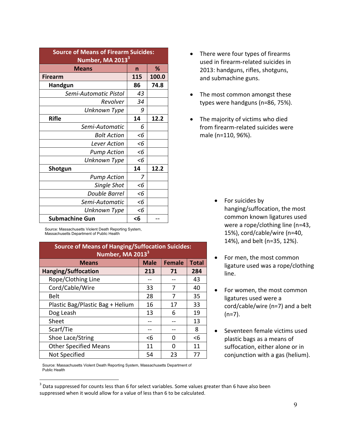| <b>Source of Means of Firearm Suicides:</b><br>Number, MA 2013 <sup>3</sup> |       |       |  |  |
|-----------------------------------------------------------------------------|-------|-------|--|--|
| <b>Means</b>                                                                | n     | ℅     |  |  |
| <b>Firearm</b>                                                              | 115   | 100.0 |  |  |
| Handgun                                                                     | 86    | 74.8  |  |  |
| Semi-Automatic Pistol                                                       | 43    |       |  |  |
| Revolver                                                                    | 34    |       |  |  |
| Unknown Type                                                                | 9     |       |  |  |
| <b>Rifle</b>                                                                | 14    | 12.2  |  |  |
| Semi-Automatic                                                              | 6     |       |  |  |
| <b>Bolt Action</b>                                                          | $<$ 6 |       |  |  |
| <b>Lever Action</b>                                                         | $<$ 6 |       |  |  |
| <b>Pump Action</b>                                                          | $<$ 6 |       |  |  |
| Unknown Type                                                                | $<$ 6 |       |  |  |
| 14<br>12.2<br>Shotgun                                                       |       |       |  |  |
| <b>Pump Action</b>                                                          | 7     |       |  |  |
| Single Shot                                                                 | $<$ 6 |       |  |  |
| <b>Double Barrel</b>                                                        | $<$ 6 |       |  |  |
| Semi-Automatic                                                              | $<$ 6 |       |  |  |
| Unknown Type                                                                | $<$ 6 |       |  |  |
| <b>Submachine Gun</b><br>$6$                                                |       |       |  |  |

Source: Massachusetts Violent Death Reporting System, Massachusetts Department of Public Health

| <b>Source of Means of Hanging/Suffocation Suicides:</b><br>Number, MA 2013 <sup>3</sup> |             |               |              |  |  |
|-----------------------------------------------------------------------------------------|-------------|---------------|--------------|--|--|
| <b>Means</b>                                                                            | <b>Male</b> | <b>Female</b> | <b>Total</b> |  |  |
| <b>Hanging/Suffocation</b>                                                              | 213         | 71            | 284          |  |  |
| Rope/Clothing Line                                                                      |             |               | 43           |  |  |
| Cord/Cable/Wire                                                                         | 33          | 7             | 40           |  |  |
| <b>Belt</b>                                                                             | 28          | 7             | 35           |  |  |
| Plastic Bag/Plastic Bag + Helium                                                        | 16          | 17            | 33           |  |  |
| Dog Leash                                                                               | 13          | 6             | 19           |  |  |
| Sheet                                                                                   |             |               | 13           |  |  |
| Scarf/Tie                                                                               |             |               | 8            |  |  |
| Shoe Lace/String                                                                        | $<$ 6       | O             | $<$ 6        |  |  |
| <b>Other Specified Means</b>                                                            | 11          | 0             | 11           |  |  |
| Not Specified                                                                           | 54          | 23            | 77           |  |  |

- There were four types of firearms used in firearm-related suicides in 2013: handguns, rifles, shotguns, and submachine guns.
- The most common amongst these types were handguns (n=86, 75%).
- The majority of victims who died from firearm-related suicides were male (n=110, 96%).

- For suicides by hanging/suffocation, the most common known ligatures used were a rope/clothing line (n=43, 15%), cord/cable/wire (n=40, 14%), and belt (n=35, 12%).
- For men, the most common ligature used was a rope/clothing line.
- For women, the most common ligatures used were a cord/cable/wire (n=7) and a belt  $(n=7)$ .
- Seventeen female victims used plastic bags as a means of suffocation, either alone or in conjunction with a gas (helium).

Source: Massachusetts Violent Death Reporting System, Massachusetts Department of Public Health

<u>.</u>

 $3$  Data suppressed for counts less than 6 for select variables. Some values greater than 6 have also been suppressed when it would allow for a value of less than 6 to be calculated.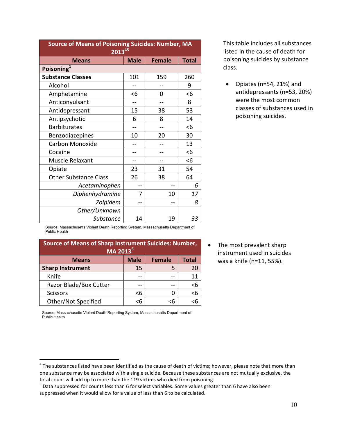| <b>Source of Means of Poisoning Suicides: Number, MA</b><br>$2013^{45}$ |     |     |       |  |  |  |
|-------------------------------------------------------------------------|-----|-----|-------|--|--|--|
| <b>Male</b><br><b>Female</b><br><b>Total</b><br><b>Means</b>            |     |     |       |  |  |  |
| Poisoning <sup>1</sup>                                                  |     |     |       |  |  |  |
| <b>Substance Classes</b>                                                | 101 | 159 | 260   |  |  |  |
| Alcohol                                                                 |     |     | 9     |  |  |  |
| Amphetamine                                                             | $6$ | 0   | $<$ 6 |  |  |  |
| Anticonvulsant                                                          |     |     | 8     |  |  |  |
| Antidepressant                                                          | 15  | 38  | 53    |  |  |  |
| Antipsychotic                                                           | 6   | 8   | 14    |  |  |  |
| <b>Barbiturates</b>                                                     |     |     | <6    |  |  |  |
| Benzodiazepines                                                         | 10  | 20  | 30    |  |  |  |
| Carbon Monoxide                                                         |     |     | 13    |  |  |  |
| Cocaine                                                                 |     |     | <6    |  |  |  |
| Muscle Relaxant                                                         |     |     | $<$ 6 |  |  |  |
| Opiate                                                                  | 23  | 31  | 54    |  |  |  |
| <b>Other Substance Class</b>                                            | 26  | 38  | 64    |  |  |  |
| Acetaminophen                                                           |     |     | 6     |  |  |  |
| Diphenhydramine                                                         | 7   | 10  | 17    |  |  |  |
| Zolpidem                                                                |     |     | 8     |  |  |  |
| Other/Unknown                                                           |     |     |       |  |  |  |
| Substance                                                               | 14  | 19  | 33    |  |  |  |

This table includes all substances listed in the cause of death for poisoning suicides by substance class.

• Opiates (n=54, 21%) and antidepressants (n=53, 20%) were the most common classes of substances used in poisoning suicides.

Source: Massachusetts Violent Death Reporting System, Massachusetts Department of Public Health

| <b>Source of Means of Sharp Instrument Suicides: Number,</b><br>MA 2013 <sup>5</sup> |    |    |    |  |  |
|--------------------------------------------------------------------------------------|----|----|----|--|--|
| <b>Male</b><br><b>Female</b><br><b>Total</b><br><b>Means</b>                         |    |    |    |  |  |
| <b>Sharp Instrument</b>                                                              | 15 | 5  | 20 |  |  |
| Knife                                                                                |    |    | 11 |  |  |
| Razor Blade/Box Cutter                                                               |    |    | <6 |  |  |
| <b>Scissors</b>                                                                      | <6 | 0  | <6 |  |  |
| Other/Not Specified                                                                  | 6> | <6 |    |  |  |

The most prevalent sharp instrument used in suicides was a knife (n=11, 55%).

Source: Massachusetts Violent Death Reporting System, Massachusetts Department of Public Health

<u>.</u>

 $^4$  The substances listed have been identified as the cause of death of victims; however, please note that more than one substance may be associated with a single suicide. Because these substances are not mutually exclusive, the total count will add up to more than the 119 victims who died from poisoning.

<sup>&</sup>lt;sup>5</sup> Data suppressed for counts less than 6 for select variables. Some values greater than 6 have also been suppressed when it would allow for a value of less than 6 to be calculated.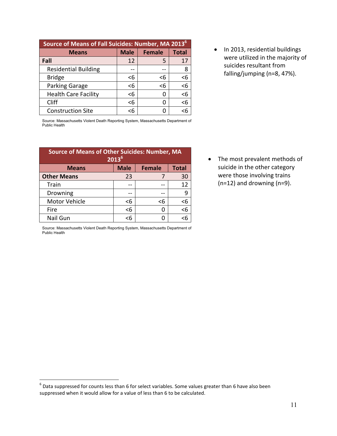| Source of Means of Fall Suicides: Number, MA 2013 <sup>6</sup> |     |     |       |  |  |
|----------------------------------------------------------------|-----|-----|-------|--|--|
| <b>Male</b><br><b>Total</b><br><b>Female</b><br><b>Means</b>   |     |     |       |  |  |
| Fall                                                           | 12  | 5   | 17    |  |  |
| <b>Residential Building</b>                                    |     |     | 8     |  |  |
| <b>Bridge</b>                                                  | $6$ | $6$ | $<$ 6 |  |  |
| Parking Garage                                                 | <6  | <6  | $6$   |  |  |
| <b>Health Care Facility</b>                                    | $6$ | 0   | <6    |  |  |
| Cliff                                                          | <6  | O   | <6    |  |  |
| <b>Construction Site</b>                                       | <6  | 0   |       |  |  |

• In 2013, residential buildings were utilized in the majority of suicides resultant from falling/jumping (n=8, 47%).

Source: Massachusetts Violent Death Reporting System, Massachusetts Department of Public Health

| <b>Source of Means of Other Suicides: Number, MA</b><br>2013 <sup>6</sup> |    |     |          |  |  |  |
|---------------------------------------------------------------------------|----|-----|----------|--|--|--|
| <b>Male</b><br><b>Total</b><br><b>Female</b><br><b>Means</b>              |    |     |          |  |  |  |
| <b>Other Means</b>                                                        | 23 |     | 30       |  |  |  |
| Train                                                                     |    |     | 12       |  |  |  |
| Drowning                                                                  |    |     | ٩        |  |  |  |
| Motor Vehicle                                                             | <6 | $6$ | $6$      |  |  |  |
| Fire                                                                      | <6 | O   | $\leq 6$ |  |  |  |
| Nail Gun                                                                  | <6 | 0   | <6       |  |  |  |

Source: Massachusetts Violent Death Reporting System, Massachusetts Department of

• The most prevalent methods of suicide in the other category were those involving trains (n=12) and drowning (n=9).

Public Health

 6 Data suppressed for counts less than 6 for select variables. Some values greater than 6 have also been suppressed when it would allow for a value of less than 6 to be calculated.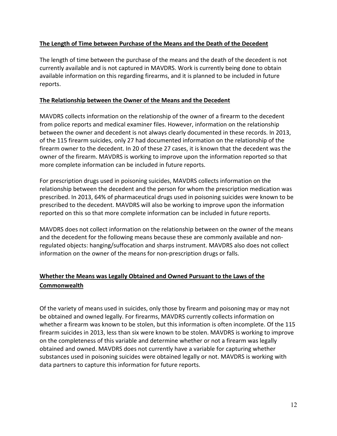### **The Length of Time between Purchase of the Means and the Death of the Decedent**

The length of time between the purchase of the means and the death of the decedent is not currently available and is not captured in MAVDRS. Work is currently being done to obtain available information on this regarding firearms, and it is planned to be included in future reports.

### **The Relationship between the Owner of the Means and the Decedent**

MAVDRS collects information on the relationship of the owner of a firearm to the decedent from police reports and medical examiner files. However, information on the relationship between the owner and decedent is not always clearly documented in these records. In 2013, of the 115 firearm suicides, only 27 had documented information on the relationship of the firearm owner to the decedent. In 20 of these 27 cases, it is known that the decedent was the owner of the firearm. MAVDRS is working to improve upon the information reported so that more complete information can be included in future reports.

For prescription drugs used in poisoning suicides, MAVDRS collects information on the relationship between the decedent and the person for whom the prescription medication was prescribed. In 2013, 64% of pharmaceutical drugs used in poisoning suicides were known to be prescribed to the decedent. MAVDRS will also be working to improve upon the information reported on this so that more complete information can be included in future reports.

MAVDRS does not collect information on the relationship between on the owner of the means and the decedent for the following means because these are commonly available and nonregulated objects: hanging/suffocation and sharps instrument. MAVDRS also does not collect information on the owner of the means for non-prescription drugs or falls.

# **Whether the Means was Legally Obtained and Owned Pursuant to the Laws of the Commonwealth**

Of the variety of means used in suicides, only those by firearm and poisoning may or may not be obtained and owned legally. For firearms, MAVDRS currently collects information on whether a firearm was known to be stolen, but this information is often incomplete. Of the 115 firearm suicides in 2013, less than six were known to be stolen. MAVDRS is working to improve on the completeness of this variable and determine whether or not a firearm was legally obtained and owned. MAVDRS does not currently have a variable for capturing whether substances used in poisoning suicides were obtained legally or not. MAVDRS is working with data partners to capture this information for future reports.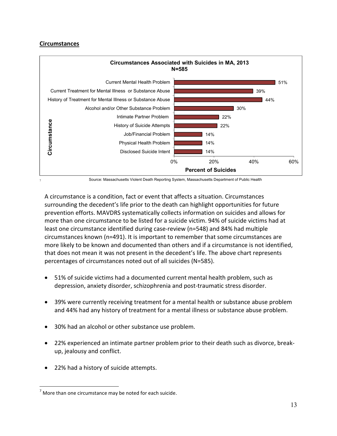#### **Circumstances**

7



Source: Massachusetts Violent Death Reporting System, Massachusetts Department of Public Health

A circumstance is a condition, fact or event that affects a situation. Circumstances surrounding the decedent's life prior to the death can highlight opportunities for future prevention efforts. MAVDRS systematically collects information on suicides and allows for more than one circumstance to be listed for a suicide victim. 94% of suicide victims had at least one circumstance identified during case-review (n=548) and 84% had multiple circumstances known (n=491). It is important to remember that some circumstances are more likely to be known and documented than others and if a circumstance is not identified, that does not mean it was not present in the decedent's life. The above chart represents percentages of circumstances noted out of all suicides (N=585).

- 51% of suicide victims had a documented current mental health problem, such as depression, anxiety disorder, schizophrenia and post-traumatic stress disorder.
- 39% were currently receiving treatment for a mental health or substance abuse problem and 44% had any history of treatment for a mental illness or substance abuse problem.
- 30% had an alcohol or other substance use problem.
- 22% experienced an intimate partner problem prior to their death such as divorce, breakup, jealousy and conflict.
- 22% had a history of suicide attempts.

<sup>&</sup>lt;u>.</u>  $7$  More than one circumstance may be noted for each suicide.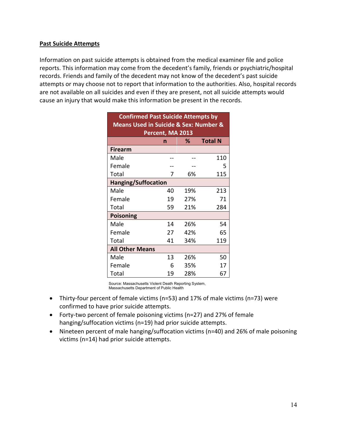#### **Past Suicide Attempts**

Information on past suicide attempts is obtained from the medical examiner file and police reports. This information may come from the decedent's family, friends or psychiatric/hospital records. Friends and family of the decedent may not know of the decedent's past suicide attempts or may choose not to report that information to the authorities. Also, hospital records are not available on all suicides and even if they are present, not all suicide attempts would cause an injury that would make this information be present in the records.

| <b>Confirmed Past Suicide Attempts by</b><br><b>Means Used in Suicide &amp; Sex: Number &amp;</b> |    |     |     |  |  |  |
|---------------------------------------------------------------------------------------------------|----|-----|-----|--|--|--|
| Percent, MA 2013<br><b>Total N</b><br>℅<br>n                                                      |    |     |     |  |  |  |
| <b>Firearm</b>                                                                                    |    |     |     |  |  |  |
| Male                                                                                              |    |     | 110 |  |  |  |
| Female                                                                                            |    |     | 5   |  |  |  |
| Total                                                                                             | 7  | 6%  | 115 |  |  |  |
| <b>Hanging/Suffocation</b>                                                                        |    |     |     |  |  |  |
| Male                                                                                              | 40 | 19% | 213 |  |  |  |
| Female                                                                                            | 19 | 27% | 71  |  |  |  |
| Total                                                                                             | 59 | 21% | 284 |  |  |  |
| <b>Poisoning</b>                                                                                  |    |     |     |  |  |  |
| Male                                                                                              | 14 | 26% | 54  |  |  |  |
| Female                                                                                            | 27 | 42% | 65  |  |  |  |
| Total                                                                                             | 41 | 34% | 119 |  |  |  |
| <b>All Other Means</b>                                                                            |    |     |     |  |  |  |
| Male                                                                                              | 13 | 26% | 50  |  |  |  |
| Female                                                                                            | 6  | 35% | 17  |  |  |  |
| Total                                                                                             | 19 | 28% | 67  |  |  |  |

Source: Massachusetts Violent Death Reporting System, Massachusetts Department of Public Health

- Thirty-four percent of female victims (n=53) and 17% of male victims (n=73) were confirmed to have prior suicide attempts.
- Forty-two percent of female poisoning victims (n=27) and 27% of female hanging/suffocation victims (n=19) had prior suicide attempts.
- Nineteen percent of male hanging/suffocation victims (n=40) and 26% of male poisoning victims (n=14) had prior suicide attempts.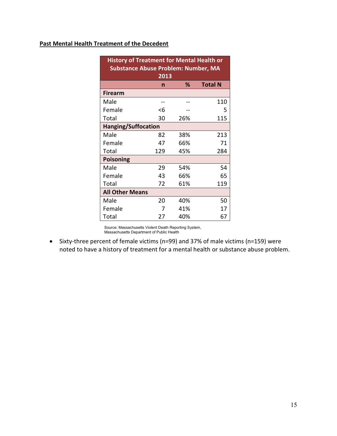## **Past Mental Health Treatment of the Decedent**

| <b>History of Treatment for Mental Health or</b><br><b>Substance Abuse Problem: Number, MA</b> |                                  |     |     |  |  |  |  |
|------------------------------------------------------------------------------------------------|----------------------------------|-----|-----|--|--|--|--|
|                                                                                                | 2013<br>℅<br><b>Total N</b><br>n |     |     |  |  |  |  |
| <b>Firearm</b>                                                                                 |                                  |     |     |  |  |  |  |
| Male                                                                                           |                                  |     | 110 |  |  |  |  |
| Female                                                                                         | <6                               |     | 5   |  |  |  |  |
| Total                                                                                          | 30                               | 26% | 115 |  |  |  |  |
| <b>Hanging/Suffocation</b>                                                                     |                                  |     |     |  |  |  |  |
| Male                                                                                           | 82                               | 38% | 213 |  |  |  |  |
| Female                                                                                         | 47                               | 66% | 71  |  |  |  |  |
| Total                                                                                          | 129                              | 45% | 284 |  |  |  |  |
| <b>Poisoning</b>                                                                               |                                  |     |     |  |  |  |  |
| Male                                                                                           | 29                               | 54% | 54  |  |  |  |  |
| Female                                                                                         | 43                               | 66% | 65  |  |  |  |  |
| Total                                                                                          | 72                               | 61% | 119 |  |  |  |  |
| <b>All Other Means</b>                                                                         |                                  |     |     |  |  |  |  |
| Male                                                                                           | 20                               | 40% | 50  |  |  |  |  |
| Female                                                                                         | 7                                | 41% | 17  |  |  |  |  |
| Total                                                                                          | 27                               | 40% | 67  |  |  |  |  |

Source: Massachusetts Violent Death Reporting System, Massachusetts Department of Public Health

• Sixty-three percent of female victims (n=99) and 37% of male victims (n=159) were noted to have a history of treatment for a mental health or substance abuse problem.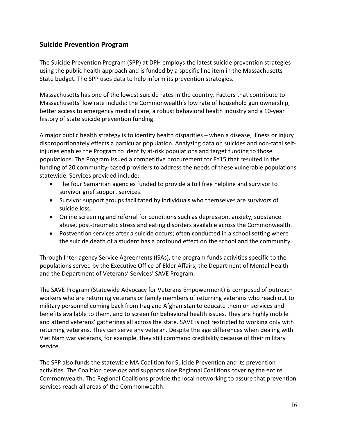## **Suicide Prevention Program**

The Suicide Prevention Program (SPP) at DPH employs the latest suicide prevention strategies using the public health approach and is funded by a specific line item in the Massachusetts State budget. The SPP uses data to help inform its prevention strategies.

Massachusetts has one of the lowest suicide rates in the country. Factors that contribute to Massachusetts' low rate include: the Commonwealth's low rate of household gun ownership, better access to emergency medical care, a robust behavioral health industry and a 10-year history of state suicide prevention funding.

A major public health strategy is to identify health disparities – when a disease, illness or injury disproportionately effects a particular population. Analyzing data on suicides and non-fatal selfinjuries enables the Program to identify at-risk populations and target funding to those populations. The Program issued a competitive procurement for FY15 that resulted in the funding of 20 community-based providers to address the needs of these vulnerable populations statewide. Services provided include:

- The four Samaritan agencies funded to provide a toll free helpline and survivor to survivor grief support services.
- Survivor support groups facilitated by individuals who themselves are survivors of suicide loss.
- Online screening and referral for conditions such as depression, anxiety, substance abuse, post-traumatic stress and eating disorders available across the Commonwealth.
- Postvention services after a suicide occurs; often conducted in a school setting where the suicide death of a student has a profound effect on the school and the community.

Through Inter-agency Service Agreements (ISAs), the program funds activities specific to the populations served by the Executive Office of Elder Affairs, the Department of Mental Health and the Department of Veterans' Services' SAVE Program.

The SAVE Program (Statewide Advocacy for Veterans Empowerment) is composed of outreach workers who are returning veterans or family members of returning veterans who reach out to military personnel coming back from Iraq and Afghanistan to educate them on services and benefits available to them, and to screen for behavioral health issues. They are highly mobile and attend veterans' gatherings all across the state. SAVE is not restricted to working only with returning veterans. They can serve any veteran. Despite the age differences when dealing with Viet Nam war veterans, for example, they still command credibility because of their military service.

The SPP also funds the statewide MA Coalition for Suicide Prevention and its prevention activities. The Coalition develops and supports nine Regional Coalitions covering the entire Commonwealth. The Regional Coalitions provide the local networking to assure that prevention services reach all areas of the Commonwealth.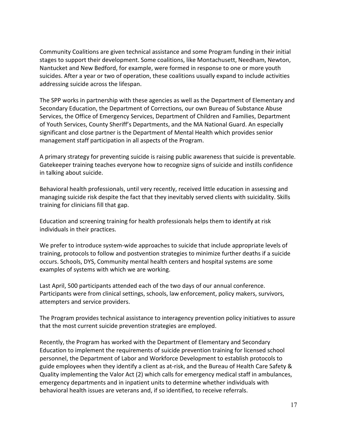Community Coalitions are given technical assistance and some Program funding in their initial stages to support their development. Some coalitions, like Montachusett, Needham, Newton, Nantucket and New Bedford, for example, were formed in response to one or more youth suicides. After a year or two of operation, these coalitions usually expand to include activities addressing suicide across the lifespan.

The SPP works in partnership with these agencies as well as the Department of Elementary and Secondary Education, the Department of Corrections, our own Bureau of Substance Abuse Services, the Office of Emergency Services, Department of Children and Families, Department of Youth Services, County Sheriff's Departments, and the MA National Guard. An especially significant and close partner is the Department of Mental Health which provides senior management staff participation in all aspects of the Program.

A primary strategy for preventing suicide is raising public awareness that suicide is preventable. Gatekeeper training teaches everyone how to recognize signs of suicide and instills confidence in talking about suicide.

Behavioral health professionals, until very recently, received little education in assessing and managing suicide risk despite the fact that they inevitably served clients with suicidality. Skills training for clinicians fill that gap.

Education and screening training for health professionals helps them to identify at risk individuals in their practices.

We prefer to introduce system-wide approaches to suicide that include appropriate levels of training, protocols to follow and postvention strategies to minimize further deaths if a suicide occurs. Schools, DYS, Community mental health centers and hospital systems are some examples of systems with which we are working.

Last April, 500 participants attended each of the two days of our annual conference. Participants were from clinical settings, schools, law enforcement, policy makers, survivors, attempters and service providers.

The Program provides technical assistance to interagency prevention policy initiatives to assure that the most current suicide prevention strategies are employed.

Recently, the Program has worked with the Department of Elementary and Secondary Education to implement the requirements of suicide prevention training for licensed school personnel, the Department of Labor and Workforce Development to establish protocols to guide employees when they identify a client as at-risk, and the Bureau of Health Care Safety & Quality implementing the Valor Act (2) which calls for emergency medical staff in ambulances, emergency departments and in inpatient units to determine whether individuals with behavioral health issues are veterans and, if so identified, to receive referrals.